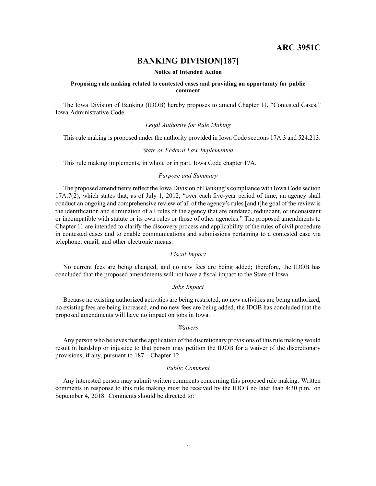**ARC 3951C**

# **BANKING DIVISION[187]**

#### **Notice of Intended Action**

#### **Proposing rule making related to contested cases and providing an opportunity for public comment**

The Iowa Division of Banking (IDOB) hereby proposes to amend Chapter 11, "Contested Cases," Iowa Administrative Code.

*Legal Authority for Rule Making*

This rule making is proposed under the authority provided in Iowa Code sections 17A.3 and 524.213.

#### *State or Federal Law Implemented*

This rule making implements, in whole or in part, Iowa Code chapter 17A.

## *Purpose and Summary*

The proposed amendments reflect the Iowa Division of Banking's compliance with Iowa Code section 17A.7(2), which states that, as of July 1, 2012, "over each five-year period of time, an agency shall conduct an ongoing and comprehensive review of all of the agency's rules [and t]he goal of the review is the identification and elimination of all rules of the agency that are outdated, redundant, or inconsistent or incompatible with statute or its own rules or those of other agencies." The proposed amendments to Chapter 11 are intended to clarify the discovery process and applicability of the rules of civil procedure in contested cases and to enable communications and submissions pertaining to <sup>a</sup> contested case via telephone, email, and other electronic means.

#### *Fiscal Impact*

No current fees are being changed, and no new fees are being added; therefore, the IDOB has concluded that the proposed amendments will not have <sup>a</sup> fiscal impact to the State of Iowa.

#### *Jobs Impact*

Because no existing authorized activities are being restricted, no new activities are being authorized, no existing fees are being increased, and no new fees are being added, the IDOB has concluded that the proposed amendments will have no impact on jobs in Iowa.

#### *Waivers*

Any person who believes that the application of the discretionary provisions of this rule making would result in hardship or injustice to that person may petition the IDOB for <sup>a</sup> waiver of the discretionary provisions, if any, pursuan<sup>t</sup> to 187—Chapter 12.

#### *Public Comment*

Any interested person may submit written comments concerning this proposed rule making. Written comments in response to this rule making must be received by the IDOB no later than 4:30 p.m. on September 4, 2018. Comments should be directed to: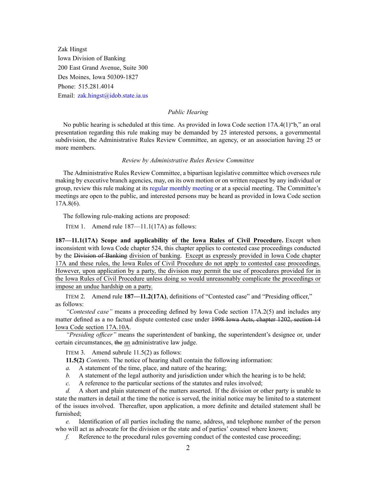Zak Hingst Iowa Division of Banking 200 East Grand Avenue, Suite 300 Des Moines, Iowa 50309-1827 Phone: 515.281.4014 Email: [zak.hingst@idob.state.ia.us](mailto:zak.hingst@idob.state.ia.us)

# *Public Hearing*

No public hearing is scheduled at this time. As provided in Iowa Code section 17A.4(1)"b," an oral presentation regarding this rule making may be demanded by 25 interested persons, <sup>a</sup> governmental subdivision, the Administrative Rules Review Committee, an agency, or an association having 25 or more members.

#### *Review by Administrative Rules Review Committee*

The Administrative Rules Review Committee, <sup>a</sup> bipartisan legislative committee which oversees rule making by executive branch agencies, may, on its own motion or on written reques<sup>t</sup> by any individual or group, review this rule making at its regular [monthly](https://www.legis.iowa.gov/committees/meetings/meetingsListComm?groupID=705&ga=87) meeting or at <sup>a</sup> special meeting. The Committee's meetings are open to the public, and interested persons may be heard as provided in Iowa Code section 17A.8(6).

The following rule-making actions are proposed:

ITEM 1. Amend rule 187—11.1(17A) as follows:

**187—11.1(17A) Scope and applicability of the Iowa Rules of Civil Procedure.** Except when inconsistent with Iowa Code chapter [524](https://www.legis.iowa.gov/docs/ico/chapter/2018/524.pdf), this chapter applies to contested case proceedings conducted by the Division of Banking division of banking. Except as expressly provided in Iowa Code chapter [17A](https://www.legis.iowa.gov/docs/ico/chapter/2018/17A.pdf) and these rules, the Iowa Rules of Civil Procedure do not apply to contested case proceedings. However, upon application by <sup>a</sup> party, the division may permit the use of procedures provided for in the Iowa Rules of Civil Procedure unless doing so would unreasonably complicate the proceedings or impose an undue hardship on <sup>a</sup> party.

ITEM 2. Amend rule **187—11.2(17A)**, definitions of "Contested case" and "Presiding officer," as follows:

*"Contested case"* means <sup>a</sup> proceeding defined by Iowa Code section [17A.2\(5\)](https://www.legis.iowa.gov/docs/ico/section/2018/17A.2.pdf) and includes any matter defined as <sup>a</sup> no factual dispute contested case under 1998 Iowa Acts, chapter 1202, section 14 Iowa Code section [17A.10A](https://www.legis.iowa.gov/docs/ico/section/2018/17A.10A.pdf).

*"Presiding officer"* means the superintendent of banking, the superintendent's designee or, under certain circumstances, the an administrative law judge.

ITEM 3. Amend subrule 11.5(2) as follows:

**11.5(2)** *Contents.* The notice of hearing shall contain the following information:

- *a.* A statement of the time, place, and nature of the hearing;
- *b.* A statement of the legal authority and jurisdiction under which the hearing is to be held;
- *c.* A reference to the particular sections of the statutes and rules involved;

*d.* A short and plain statement of the matters asserted. If the division or other party is unable to state the matters in detail at the time the notice is served, the initial notice may be limited to <sup>a</sup> statement of the issues involved. Thereafter, upon application, <sup>a</sup> more definite and detailed statement shall be furnished;

*e.* Identification of all parties including the name, address, and telephone number of the person who will act as advocate for the division or the state and of parties' counsel where known;

*f.* Reference to the procedural rules governing conduct of the contested case proceeding;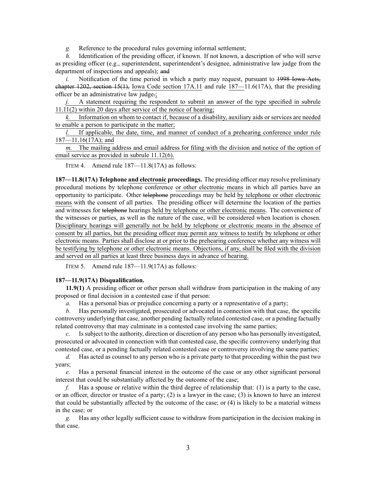*g.* Reference to the procedural rules governing informal settlement;

*h.* Identification of the presiding officer, if known. If not known, a description of who will serve as presiding officer (e.g., superintendent, superintendent's designee, administrative law judge from the department of inspections and appeals); and

*i.* Notification of the time period in which a party may request, pursuant to 1998 Iowa Acts, chapter  $1202$ , section  $15(1)$ , Iowa Code section  $17A.11$  and rule  $187-11.6(17A)$ , that the presiding officer be an administrative law judge.;

A statement requiring the respondent to submit an answer of the type specified in [subrule](https://www.legis.iowa.gov/docs/iac/rule/187.11.11.pdf) [11.11\(2\)](https://www.legis.iowa.gov/docs/iac/rule/187.11.11.pdf) within 20 days after service of the notice of hearing;

*k.* Information on whom to contact if, because of <sup>a</sup> disability, auxiliary aids or services are needed to enable <sup>a</sup> person to participate in the matter;

*l.* If applicable, the date, time, and manner of conduct of <sup>a</sup> prehearing conference under rule [187—11.16\(17A\)](https://www.legis.iowa.gov/docs/iac/rule/187.11.16.pdf); and

*m.* The mailing address and email address for filing with the division and notice of the option of email service as provided in subrule [11.12\(6\)](https://www.legis.iowa.gov/docs/iac/rule/187.11.12.pdf).

ITEM 4. Amend rule 187—11.8(17A) as follows:

**187—11.8(17A) Telephone and electronic proceedings.** The presiding officer may resolve preliminary procedural motions by telephone conference or other electronic means in which all parties have an opportunity to participate. Other telephone proceedings may be held by telephone or other electronic means with the consent of all parties. The presiding officer will determine the location of the parties and witnesses for telephone hearings held by telephone or other electronic means. The convenience of the witnesses or parties, as well as the nature of the case, will be considered when location is chosen. Disciplinary hearings will generally not be held by telephone or electronic means in the absence of consent by all parties, but the presiding officer may permit any witness to testify by telephone or other electronic means. Parties shall disclose at or prior to the prehearing conference whether any witness will be testifying by telephone or other electronic means. Objections, if any, shall be filed with the division and served on all parties at least three business days in advance of hearing.

ITEM 5. Amend rule 187—11.9(17A) as follows:

# **187—11.9(17A) Disqualification.**

**11.9(1)** A presiding officer or other person shall withdraw from participation in the making of any proposed or final decision in <sup>a</sup> contested case if that person:

*a.* Has <sup>a</sup> personal bias or prejudice concerning <sup>a</sup> party or <sup>a</sup> representative of <sup>a</sup> party;

*b.* Has personally investigated, prosecuted or advocated in connection with that case, the specific controversy underlying that case, another pending factually related contested case, or <sup>a</sup> pending factually related controversy that may culminate in <sup>a</sup> contested case involving the same parties;

*c.* Issubject to the authority, direction or discretion of any person who has personally investigated, prosecuted or advocated in connection with that contested case, the specific controversy underlying that contested case, or <sup>a</sup> pending factually related contested case or controversy involving the same parties;

*d.* Has acted as counsel to any person who is <sup>a</sup> private party to that proceeding within the pas<sup>t</sup> two years;

*e.* Has <sup>a</sup> personal financial interest in the outcome of the case or any other significant personal interest that could be substantially affected by the outcome of the case;

*f.* Has <sup>a</sup> spouse or relative within the third degree of relationship that: (1) is <sup>a</sup> party to the case, or an officer, director or trustee of <sup>a</sup> party; (2) is <sup>a</sup> lawyer in the case; (3) is known to have an interest that could be substantially affected by the outcome of the case; or (4) is likely to be <sup>a</sup> material witness in the case; or

*g.* Has any other legally sufficient cause to withdraw from participation in the decision making in that case.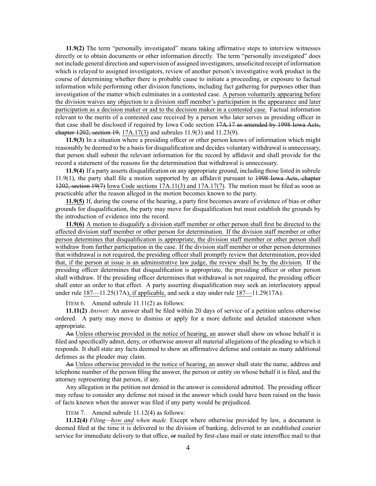**11.9(2)** The term "personally investigated" means taking affirmative steps to interview witnesses directly or to obtain documents or other information directly. The term "personally investigated" does not include general direction and supervision of assigned investigators, unsolicited receipt of information which is relayed to assigned investigators, review of another person's investigative work product in the course of determining whether there is probable cause to initiate <sup>a</sup> proceeding, or exposure to factual information while performing other division functions, including fact gathering for purposes other than investigation of the matter which culminates in <sup>a</sup> contested case. A person voluntarily appearing before the division waives any objection to <sup>a</sup> division staff member's participation in the appearance and later participation as <sup>a</sup> decision maker or aid to the decision maker in <sup>a</sup> contested case. Factual information relevant to the merits of <sup>a</sup> contested case received by <sup>a</sup> person who later serves as presiding officer in that case shall be disclosed if required by Iowa Code section [17A.17](https://www.legis.iowa.gov/docs/ico/section/17A.17.pdf) as amended by 1998 Iowa Acts, chapter 1202, section 19, [17A.17\(3\)](https://www.legis.iowa.gov/docs/ico/section/2018/17A.17.pdf) and subrules [11.9\(3\)](https://www.legis.iowa.gov/docs/iac/rule/187.11.9.pdf) and [11.23\(9\)](https://www.legis.iowa.gov/docs/iac/rule/187.11.23.pdf).

**11.9(3)** In <sup>a</sup> situation where <sup>a</sup> presiding officer or other person knows of information which might reasonably be deemed to be <sup>a</sup> basis for disqualification and decides voluntary withdrawal is unnecessary, that person shall submit the relevant information for the record by affidavit and shall provide for the record <sup>a</sup> statement of the reasons for the determination that withdrawal is unnecessary.

**11.9(4)** If <sup>a</sup> party asserts disqualification on any appropriate ground, including those listed in [subrule](https://www.legis.iowa.gov/docs/iac/rule/187.11.9.pdf) [11.9\(1\)](https://www.legis.iowa.gov/docs/iac/rule/187.11.9.pdf), the party shall file <sup>a</sup> motion supported by an affidavit pursuan<sup>t</sup> to 1998 Iowa Acts, chapter 1202, section 19(7) Iowa Code sections [17A.11\(3\)](https://www.legis.iowa.gov/docs/ico/section/2018/17A.11.pdf) and [17A.17\(7\)](https://www.legis.iowa.gov/docs/ico/section/2018/17A.17.pdf). The motion must be filed as soon as practicable after the reason alleged in the motion becomes known to the party.

**11.9(5)** If, during the course of the hearing, <sup>a</sup> party first becomes aware of evidence of bias or other grounds for disqualification, the party may move for disqualification but must establish the grounds by the introduction of evidence into the record.

**11.9(6)** A motion to disqualify <sup>a</sup> division staff member or other person shall first be directed to the affected division staff member or other person for determination. If the division staff member or other person determines that disqualification is appropriate, the division staff member or other person shall withdraw from further participation in the case. If the division staff member or other person determines that withdrawal is not required, the presiding officer shall promptly review that determination, provided that, if the person at issue is an administrative law judge, the review shall be by the division. If the presiding officer determines that disqualification is appropriate, the presiding officer or other person shall withdraw. If the presiding officer determines that withdrawal is not required, the presiding officer shall enter an order to that effect. A party asserting disqualification may seek an interlocutory appeal under rule [187—11.25\(17A\)](https://www.legis.iowa.gov/docs/iac/rule/187.11.25.pdf), if applicable, and seek <sup>a</sup> stay under rule [187—11.29\(17A\)](https://www.legis.iowa.gov/docs/iac/rule/187.11.29.pdf).

ITEM 6. Amend subrule 11.11(2) as follows:

**11.11(2)** *Answer.* An answer shall be filed within 20 days of service of <sup>a</sup> petition unless otherwise ordered. A party may move to dismiss or apply for <sup>a</sup> more definite and detailed statement when appropriate.

An Unless otherwise provided in the notice of hearing, an answer shall show on whose behalf it is filed and specifically admit, deny, or otherwise answer all material allegations of the pleading to which it responds. It shall state any facts deemed to show an affirmative defense and contain as many additional defenses as the pleader may claim.

An Unless otherwise provided in the notice of hearing, an answer shall state the name, address and telephone number of the person filing the answer, the person or entity on whose behalf it is filed, and the attorney representing that person, if any.

Any allegation in the petition not denied in the answer is considered admitted. The presiding officer may refuse to consider any defense not raised in the answer which could have been raised on the basis of facts known when the answer was filed if any party would be prejudiced.

ITEM 7. Amend subrule 11.12(4) as follows:

**11.12(4)** *Filing—how and when made.* Except where otherwise provided by law, <sup>a</sup> document is deemed filed at the time it is delivered to the division of banking, delivered to an established courier service for immediate delivery to that office,  $\Theta$  mailed by first-class mail or state interoffice mail to that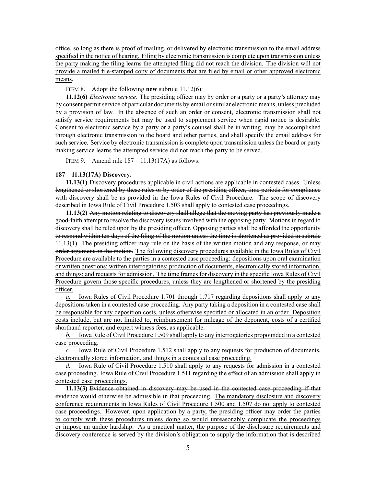office, so long as there is proof of mailing, or delivered by electronic transmission to the email address specified in the notice of hearing. Filing by electronic transmission is complete upon transmission unless the party making the filing learns the attempted filing did not reach the division. The division will not provide <sup>a</sup> mailed file-stamped copy of documents that are filed by email or other approved electronic means.

ITEM 8. Adopt the following **new** subrule 11.12(6):

**11.12(6)** *Electronic service.* The presiding officer may by order or <sup>a</sup> party or <sup>a</sup> party's attorney may by consent permit service of particular documents by email or similar electronic means, unless precluded by <sup>a</sup> provision of law. In the absence of such an order or consent, electronic transmission shall not satisfy service requirements but may be used to supplement service when rapid notice is desirable. Consent to electronic service by <sup>a</sup> party or <sup>a</sup> party's counsel shall be in writing, may be accomplished through electronic transmission to the board and other parties, and shall specify the email address for such service. Service by electronic transmission is complete upon transmission unless the board or party making service learns the attempted service did not reach the party to be served.

ITEM 9. Amend rule 187—11.13(17A) as follows:

#### **187—11.13(17A) Discovery.**

**11.13(1)** Discovery procedures applicable in civil actions are applicable in contested cases. Unless lengthened or shortened by these rules or by order of the presiding officer, time periods for compliance with discovery shall be as provided in the Iowa Rules of Civil Procedure. The scope of discovery described in Iowa Rule of Civil Procedure 1.503 shall apply to contested case proceedings.

**11.13(2)** Any motion relating to discovery shall allege that the moving party has previously made <sup>a</sup> good-faith attempt to resolve the discovery issues involved with the opposing party. Motions in regard to discovery shall be ruled upon by the presiding officer. Opposing parties shall be afforded the opportunity to respond within ten days of the filing of the motion unless the time is shortened as provided in [subrule](https://www.legis.iowa.gov/docs/iac/rule/187.11.13.pdf) [11.13\(1\)](https://www.legis.iowa.gov/docs/iac/rule/187.11.13.pdf). The presiding officer may rule on the basis of the written motion and any response, or may order argumen<sup>t</sup> on the motion. The following discovery procedures available in the Iowa Rules of Civil Procedure are available to the parties in <sup>a</sup> contested case proceeding: depositions upon oral examination or written questions; written interrogatories; production of documents, electronically stored information, and things; and requests for admission. The time frames for discovery in the specific Iowa Rules of Civil Procedure govern those specific procedures, unless they are lengthened or shortened by the presiding officer.

*a.* Iowa Rules of Civil Procedure 1.701 through 1.717 regarding depositions shall apply to any depositions taken in <sup>a</sup> contested case proceeding. Any party taking <sup>a</sup> deposition in <sup>a</sup> contested case shall be responsible for any deposition costs, unless otherwise specified or allocated in an order. Deposition costs include, but are not limited to, reimbursement for mileage of the deponent, costs of <sup>a</sup> certified shorthand reporter, and exper<sup>t</sup> witness fees, as applicable.

*b.* Iowa Rule of Civil Procedure 1.509 shall apply to any interrogatories propounded in <sup>a</sup> contested case proceeding.

*c.* Iowa Rule of Civil Procedure 1.512 shall apply to any requests for production of documents, electronically stored information, and things in <sup>a</sup> contested case proceeding.

*d.* Iowa Rule of Civil Procedure 1.510 shall apply to any requests for admission in <sup>a</sup> contested case proceeding. Iowa Rule of Civil Procedure 1.511 regarding the effect of an admission shall apply in contested case proceedings.

**11.13(3)** Evidence obtained in discovery may be used in the contested case proceeding if that evidence would otherwise be admissible in that proceeding. The mandatory disclosure and discovery conference requirements in Iowa Rules of Civil Procedure 1.500 and 1.507 do not apply to contested case proceedings. However, upon application by <sup>a</sup> party, the presiding officer may order the parties to comply with these procedures unless doing so would unreasonably complicate the proceedings or impose an undue hardship. As <sup>a</sup> practical matter, the purpose of the disclosure requirements and discovery conference is served by the division's obligation to supply the information that is described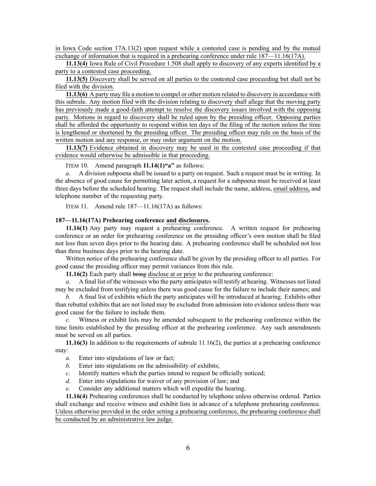in Iowa Code section [17A.13\(2\)](https://www.legis.iowa.gov/docs/ico/section/2018/17A.13.pdf) upon reques<sup>t</sup> while <sup>a</sup> contested case is pending and by the mutual exchange of information that is required in <sup>a</sup> prehearing conference under rule [187—11.16\(17A\)](https://www.legis.iowa.gov/docs/iac/rule/187.11.16.pdf).

**11.13(4)** Iowa Rule of Civil Procedure 1.508 shall apply to discovery of any experts identified by <sup>a</sup> party to <sup>a</sup> contested case proceeding.

**11.13(5)** Discovery shall be served on all parties to the contested case proceeding but shall not be filed with the division.

**11.13(6)** A party may file <sup>a</sup> motion to compel or other motion related to discovery in accordance with this subrule. Any motion filed with the division relating to discovery shall allege that the moving party has previously made <sup>a</sup> good-faith attempt to resolve the discovery issues involved with the opposing party. Motions in regard to discovery shall be ruled upon by the presiding officer. Opposing parties shall be afforded the opportunity to respond within ten days of the filing of the motion unless the time is lengthened or shortened by the presiding officer. The presiding officer may rule on the basis of the written motion and any response, or may order argumen<sup>t</sup> on the motion.

**11.13(7)** Evidence obtained in discovery may be used in the contested case proceeding if that evidence would otherwise be admissible in that proceeding.

ITEM 10. Amend paragraph **11.14(1)"a"** as follows:

*a.* A division subpoena shall be issued to <sup>a</sup> party on request. Such <sup>a</sup> reques<sup>t</sup> must be in writing. In the absence of good cause for permitting later action, <sup>a</sup> reques<sup>t</sup> for <sup>a</sup> subpoena must be received at least three days before the scheduled hearing. The reques<sup>t</sup> shall include the name, address, email address, and telephone number of the requesting party.

ITEM 11. Amend rule 187—11.16(17A) as follows:

## **187—11.16(17A) Prehearing conference and disclosures.**

**11.16(1)** Any party may reques<sup>t</sup> <sup>a</sup> prehearing conference. A written reques<sup>t</sup> for prehearing conference or an order for prehearing conference on the presiding officer's own motion shall be filed not less than seven days prior to the hearing date. A prehearing conference shall be scheduled not less than three business days prior to the hearing date.

Written notice of the prehearing conference shall be given by the presiding officer to all parties. For good cause the presiding officer may permit variances from this rule.

**11.16(2)** Each party shall bring disclose at or prior to the prehearing conference:

*a.* A final list of the witnesses who the party anticipates will testify at hearing. Witnesses not listed may be excluded from testifying unless there was good cause for the failure to include their names; and

*b.* A final list of exhibits which the party anticipates will be introduced at hearing. Exhibits other than rebuttal exhibits that are not listed may be excluded from admission into evidence unless there was good cause for the failure to include them.

*c.* Witness or exhibit lists may be amended subsequent to the prehearing conference within the time limits established by the presiding officer at the prehearing conference. Any such amendments must be served on all parties.

**11.16(3)** In addition to the requirements of subrule [11.16\(2\)](https://www.legis.iowa.gov/docs/iac/rule/187.11.16.pdf), the parties at <sup>a</sup> prehearing conference may:

- *a.* Enter into stipulations of law or fact;
- *b.* Enter into stipulations on the admissibility of exhibits;
- *c.* Identify matters which the parties intend to reques<sup>t</sup> be officially noticed;
- *d.* Enter into stipulations for waiver of any provision of law; and
- *e.* Consider any additional matters which will expedite the hearing.

**11.16(4)** Prehearing conferences shall be conducted by telephone unless otherwise ordered. Parties shall exchange and receive witness and exhibit lists in advance of <sup>a</sup> telephone prehearing conference. Unless otherwise provided in the order setting <sup>a</sup> prehearing conference, the prehearing conference shall be conducted by an administrative law judge.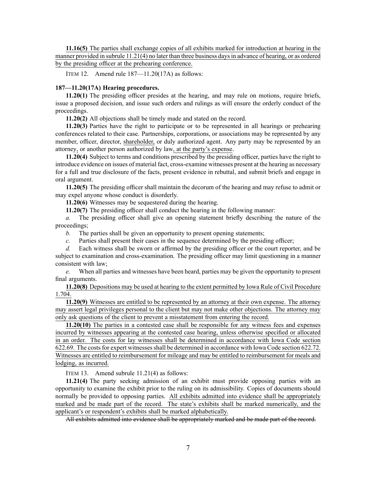**11.16(5)** The parties shall exchange copies of all exhibits marked for introduction at hearing in the manner provided in subrule [11.21\(4\)](https://www.legis.iowa.gov/docs/iac/rule/187.11.21.pdf) no later than three business daysin advance of hearing, or as ordered by the presiding officer at the prehearing conference.

ITEM 12. Amend rule 187—11.20(17A) as follows:

## **187—11.20(17A) Hearing procedures.**

**11.20(1)** The presiding officer presides at the hearing, and may rule on motions, require briefs, issue <sup>a</sup> proposed decision, and issue such orders and rulings as will ensure the orderly conduct of the proceedings.

**11.20(2)** All objections shall be timely made and stated on the record.

**11.20(3)** Parties have the right to participate or to be represented in all hearings or prehearing conferences related to their case. Partnerships, corporations, or associations may be represented by any member, officer, director, shareholder, or duly authorized agent. Any party may be represented by an attorney, or another person authorized by law, at the party's expense.

**11.20(4)** Subject to terms and conditions prescribed by the presiding officer, parties have the right to introduce evidence on issues of material fact, cross-examine witnesses presen<sup>t</sup> at the hearing as necessary for <sup>a</sup> full and true disclosure of the facts, presen<sup>t</sup> evidence in rebuttal, and submit briefs and engage in oral argument.

**11.20(5)** The presiding officer shall maintain the decorum of the hearing and may refuse to admit or may expel anyone whose conduct is disorderly.

**11.20(6)** Witnesses may be sequestered during the hearing.

**11.20(7)** The presiding officer shall conduct the hearing in the following manner:

*a.* The presiding officer shall give an opening statement briefly describing the nature of the proceedings;

- *b.* The parties shall be given an opportunity to presen<sup>t</sup> opening statements;
- *c.* Parties shall presen<sup>t</sup> their cases in the sequence determined by the presiding officer;

*d.* Each witness shall be sworn or affirmed by the presiding officer or the court reporter, and be subject to examination and cross-examination. The presiding officer may limit questioning in <sup>a</sup> manner consistent with law;

*e.* When all parties and witnesses have been heard, parties may be given the opportunity to presen<sup>t</sup> final arguments.

**11.20(8)** Depositions may be used at hearing to the extent permitted by Iowa Rule of Civil Procedure 1.704.

**11.20(9)** Witnesses are entitled to be represented by an attorney at their own expense. The attorney may assert legal privileges personal to the client but may not make other objections. The attorney may only ask questions of the client to preven<sup>t</sup> <sup>a</sup> misstatement from entering the record.

**11.20(10)** The parties in <sup>a</sup> contested case shall be responsible for any witness fees and expenses incurred by witnesses appearing at the contested case hearing, unless otherwise specified or allocated in an order. The costs for lay witnesses shall be determined in accordance with Iowa Code section [622.69](https://www.legis.iowa.gov/docs/ico/section/2018/622.69.pdf). The costs for expert witnesses shall be determined in accordance with Iowa Code section [622.72](https://www.legis.iowa.gov/docs/ico/section/2018/622.72.pdf). Witnesses are entitled to reimbursement for mileage and may be entitled to reimbursement for meals and lodging, as incurred.

ITEM 13. Amend subrule 11.21(4) as follows:

**11.21(4)** The party seeking admission of an exhibit must provide opposing parties with an opportunity to examine the exhibit prior to the ruling on its admissibility. Copies of documents should normally be provided to opposing parties. All exhibits admitted into evidence shall be appropriately marked and be made par<sup>t</sup> of the record. The state's exhibits shall be marked numerically, and the applicant's or respondent's exhibits shall be marked alphabetically.

All exhibits admitted into evidence shall be appropriately marked and be made par<sup>t</sup> of the record.